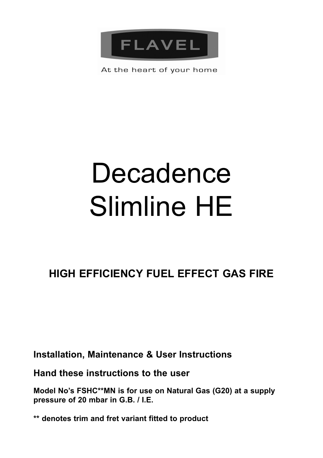

At the heart of your home

# Decadence Slimline HE

# **HIGH EFFICIENCY FUEL EFFECT GAS FIRE**

**Installation, Maintenance & User Instructions**

**Hand these instructions to the user**

**Model No's FSHC\*\*MN is for use on Natural Gas (G20) at a supply pressure of 20 mbar in G.B. / I.E.**

**\*\* denotes trim and fret variant fitted to product**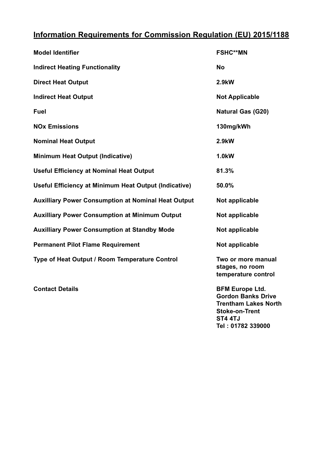### **Information Requirements for Commission Regulation (EU) 2015/1188**

| <b>Model Identifier</b>                                    | <b>FSHC**MN</b>                                              |
|------------------------------------------------------------|--------------------------------------------------------------|
| <b>Indirect Heating Functionality</b>                      | No                                                           |
| <b>Direct Heat Output</b>                                  | 2.9kW                                                        |
| <b>Indirect Heat Output</b>                                | <b>Not Applicable</b>                                        |
| Fuel                                                       | <b>Natural Gas (G20)</b>                                     |
| <b>NO<sub>x</sub></b> Emissions                            | 130mg/kWh                                                    |
| <b>Nominal Heat Output</b>                                 | 2.9kW                                                        |
| <b>Minimum Heat Output (Indicative)</b>                    | 1.0 <sub>k</sub> W                                           |
| <b>Useful Efficiency at Nominal Heat Output</b>            | 81.3%                                                        |
| Useful Efficiency at Minimum Heat Output (Indicative)      | 50.0%                                                        |
| <b>Auxilliary Power Consumption at Nominal Heat Output</b> | Not applicable                                               |
| <b>Auxilliary Power Consumption at Minimum Output</b>      | Not applicable                                               |
| <b>Auxilliary Power Consumption at Standby Mode</b>        | Not applicable                                               |
| <b>Permanent Pilot Flame Requirement</b>                   | Not applicable                                               |
| Type of Heat Output / Room Temperature Control             | Two or more manual<br>stages, no room<br>temperature control |

**Contact Details BFM Europe Ltd. Gordon Banks Drive Trentham Lakes North Stoke-on-Trent ST4 4TJ Tel : 01782 339000**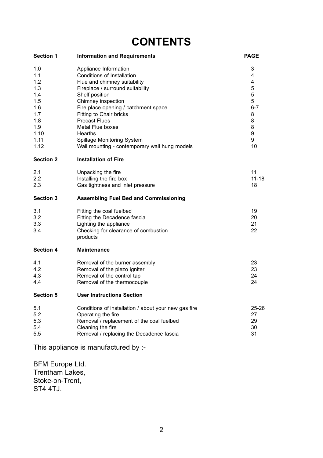# **CONTENTS**

| <b>Section 1</b>                                                                           | <b>Information and Requirements</b>                                                                                                                                                                                                                                                                                                                                      | <b>PAGE</b>                                                          |
|--------------------------------------------------------------------------------------------|--------------------------------------------------------------------------------------------------------------------------------------------------------------------------------------------------------------------------------------------------------------------------------------------------------------------------------------------------------------------------|----------------------------------------------------------------------|
| 1.0<br>1.1<br>1.2<br>1.3<br>1.4<br>1.5<br>1.6<br>1.7<br>1.8<br>1.9<br>1.10<br>1.11<br>1.12 | Appliance Information<br>Conditions of Installation<br>Flue and chimney suitability<br>Fireplace / surround suitability<br>Shelf position<br>Chimney inspection<br>Fire place opening / catchment space<br>Fitting to Chair bricks<br><b>Precast Flues</b><br>Metal Flue boxes<br>Hearths<br>Spillage Monitoring System<br>Wall mounting - contemporary wall hung models | 3<br>4<br>4<br>5<br>5<br>5<br>$6 - 7$<br>8<br>8<br>8<br>9<br>9<br>10 |
| <b>Section 2</b>                                                                           | <b>Installation of Fire</b>                                                                                                                                                                                                                                                                                                                                              |                                                                      |
| 2.1<br>2.2<br>2.3                                                                          | Unpacking the fire<br>Installing the fire box<br>Gas tightness and inlet pressure                                                                                                                                                                                                                                                                                        | 11<br>$11 - 18$<br>18                                                |
| Section 3                                                                                  | <b>Assembling Fuel Bed and Commissioning</b>                                                                                                                                                                                                                                                                                                                             |                                                                      |
| 3.1<br>3.2<br>3.3<br>3.4                                                                   | Fitting the coal fuelbed<br>Fitting the Decadence fascia<br>Lighting the appliance<br>Checking for clearance of combustion<br>products                                                                                                                                                                                                                                   | 19<br>20<br>21<br>22                                                 |
| <b>Section 4</b>                                                                           | Maintenance                                                                                                                                                                                                                                                                                                                                                              |                                                                      |
| 4.1<br>4.2<br>4.3<br>4.4                                                                   | Removal of the burner assembly<br>Removal of the piezo igniter<br>Removal of the control tap<br>Removal of the thermocouple                                                                                                                                                                                                                                              | 23<br>23<br>24<br>24                                                 |
| <b>Section 5</b>                                                                           | <b>User Instructions Section</b>                                                                                                                                                                                                                                                                                                                                         |                                                                      |
| 5.1<br>5.2<br>5.3<br>5.4<br>5.5                                                            | Conditions of installation / about your new gas fire<br>Operating the fire<br>Removal / replacement of the coal fuelbed<br>Cleaning the fire<br>Removal / replacing the Decadence fascia<br>This appliance is manufactured by :-                                                                                                                                         | 25-26<br>27<br>29<br>30<br>31                                        |
|                                                                                            |                                                                                                                                                                                                                                                                                                                                                                          |                                                                      |

BFM Europe Ltd. Trentham Lakes, Stoke-on-Trent, ST4 4TJ.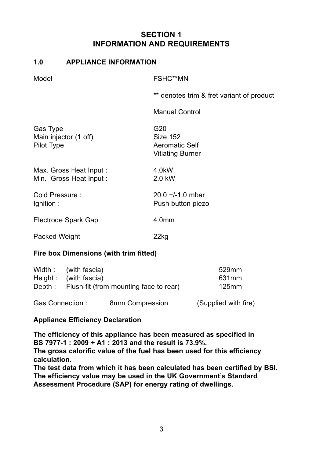#### **SECTION 1 INFORMATION AND REQUIREMENTS**

#### **1.0 APPLIANCE INFORMATION**

Model FSHC\*\*MN

\*\* denotes trim & fret variant of product

Manual Control

| Gas Type<br>Main injector (1 off)<br>Pilot Type  | G20<br>Size 152<br>Aeromatic Self<br>Vitiating Burner |
|--------------------------------------------------|-------------------------------------------------------|
| Max. Gross Heat Input:<br>Min. Gross Heat Input: | 4.0kW<br>2.0 kW                                       |
| Cold Pressure:<br>lgnition:                      | $20.0 + 1.0$ mbar<br>Push button piezo                |
| Electrode Spark Gap                              | 4.0 <sub>mm</sub>                                     |
| Packed Weight                                    | 22ka                                                  |

#### **Fire box Dimensions (with trim fitted)**

| Width :         | (with fascia)                          |                 | 529mm                |
|-----------------|----------------------------------------|-----------------|----------------------|
| Height:         | (with fascia)                          |                 | 631 <sub>mm</sub>    |
| Depth:          | Flush-fit (from mounting face to rear) |                 | 125mm                |
| Gas Connection: |                                        | 8mm Compression | (Supplied with fire) |

#### **Appliance Efficiency Declaration**

**The efficiency of this appliance has been measured as specified in BS 7977-1 : 2009 + A1 : 2013 and the result is 73.9%.**

**The gross calorific value of the fuel has been used for this efficiency calculation.**

**The test data from which it has been calculated has been certified by BSI. The efficiency value may be used in the UK Government's Standard Assessment Procedure (SAP) for energy rating of dwellings.**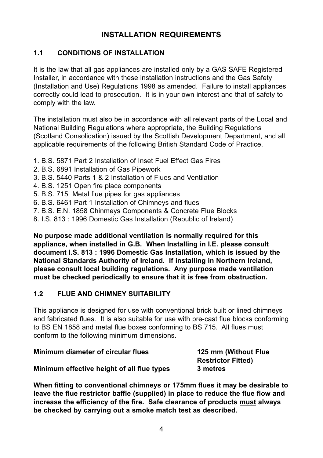#### **INSTALLATION REQUIREMENTS**

#### **1.1 CONDITIONS OF INSTALLATION**

It is the law that all gas appliances are installed only by a GAS SAFE Registered Installer, in accordance with these installation instructions and the Gas Safety (Installation and Use) Regulations 1998 as amended. Failure to install appliances correctly could lead to prosecution. It is in your own interest and that of safety to comply with the law.

The installation must also be in accordance with all relevant parts of the Local and National Building Regulations where appropriate, the Building Regulations (Scotland Consolidation) issued by the Scottish Development Department, and all applicable requirements of the following British Standard Code of Practice.

- 1. B.S. 5871 Part 2 Installation of Inset Fuel Effect Gas Fires
- 2. B.S. 6891 Installation of Gas Pipework
- 3. B.S. 5440 Parts 1 & 2 Installation of Flues and Ventilation
- 4. B.S. 1251 Open fire place components
- 5. B.S. 715 Metal flue pipes for gas appliances
- 6. B.S. 6461 Part 1 Installation of Chimneys and flues
- 7. B.S. E.N. 1858 Chinmeys Components & Concrete Flue Blocks
- 8. I.S. 813 : 1996 Domestic Gas Installation (Republic of Ireland)

**No purpose made additional ventilation is normally required for this appliance, when installed in G.B. When Installing in I.E. please consult document I.S. 813 : 1996 Domestic Gas Installation, which is issued by the National Standards Authority of Ireland. If installing in Northern Ireland, please consult local building regulations. Any purpose made ventilation must be checked periodically to ensure that it is free from obstruction.**

#### **1.2 FLUE AND CHIMNEY SUITABILITY**

This appliance is designed for use with conventional brick built or lined chimneys and fabricated flues. It is also suitable for use with pre-cast flue blocks conforming to BS EN 1858 and metal flue boxes conforming to BS 715. All flues must conform to the following minimum dimensions.

| Minimum diameter of circular flues         | 125 mm (Without Flue<br><b>Restrictor Fitted)</b> |
|--------------------------------------------|---------------------------------------------------|
| Minimum effective height of all flue types | 3 metres                                          |

**When fitting to conventional chimneys or 175mm flues it may be desirable to leave the flue restrictor baffle (supplied) in place to reduce the flue flow and increase the efficiency of the fire. Safe clearance of products must always be checked by carrying out a smoke match test as described.**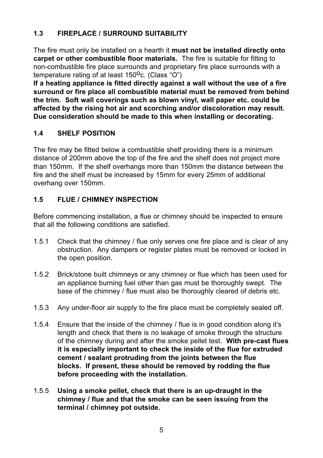#### **1.3 FIREPLACE / SURROUND SUITABILITY**

The fire must only be installed on a hearth it **must not be installed directly onto carpet or other combustible floor materials.** The fire is suitable for fitting to non-combustible fire place surrounds and proprietary fire place surrounds with a temperature rating of at least  $150^{\circ}$ c. (Class "O")

**If a heating appliance is fitted directly against a wall without the use of a fire surround or fire place all combustible material must be removed from behind the trim. Soft wall coverings such as blown vinyl, wall paper etc. could be affected by the rising hot air and scorching and/or discoloration may result. Due consideration should be made to this when installing or decorating.**

#### **1.4 SHELF POSITION**

The fire may be fitted below a combustible shelf providing there is a minimum distance of 200mm above the top of the fire and the shelf does not project more than 150mm. If the shelf overhangs more than 150mm the distance between the fire and the shelf must be increased by 15mm for every 25mm of additional overhang over 150mm.

#### **1.5 FLUE / CHIMNEY INSPECTION**

Before commencing installation, a flue or chimney should be inspected to ensure that all the following conditions are satisfied.

- 1.5.1 Check that the chimney / flue only serves one fire place and is clear of any obstruction. Any dampers or register plates must be removed or locked in the open position.
- 1.5.2 Brick/stone built chimneys or any chimney or flue which has been used for an appliance burning fuel other than gas must be thoroughly swept. The base of the chimney / flue must also be thoroughly cleared of debris etc.
- 1.5.3 Any under-floor air supply to the fire place must be completely sealed off.
- 1.5.4 Ensure that the inside of the chimney / flue is in good condition along it's length and check that there is no leakage of smoke through the structure of the chimney during and after the smoke pellet test. **With pre-cast flues it is especially important to check the inside of the flue for extruded cement / sealant protruding from the joints between the flue blocks. If present, these should be removed by rodding the flue before proceeding with the installation.**
- 1.5.5 **Using a smoke pellet, check that there is an up-draught in the chimney / flue and that the smoke can be seen issuing from the terminal / chimney pot outside.**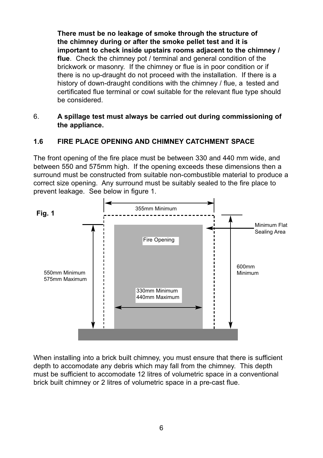**There must be no leakage of smoke through the structure of the chimney during or after the smoke pellet test and it is important to check inside upstairs rooms adjacent to the chimney / flue**. Check the chimney pot / terminal and general condition of the brickwork or masonry. If the chimney or flue is in poor condition or if there is no up-draught do not proceed with the installation. If there is a history of down-draught conditions with the chimney / flue, a tested and certificated flue terminal or cowl suitable for the relevant flue type should be considered.

#### 6. **A spillage test must always be carried out during commissioning of the appliance.**

#### **1.6 FIRE PLACE OPENING AND CHIMNEY CATCHMENT SPACE**

The front opening of the fire place must be between 330 and 440 mm wide, and between 550 and 575mm high. If the opening exceeds these dimensions then a surround must be constructed from suitable non-combustible material to produce a correct size opening. Any surround must be suitably sealed to the fire place to prevent leakage. See below in figure 1.



When installing into a brick built chimney, you must ensure that there is sufficient depth to accomodate any debris which may fall from the chimney. This depth must be sufficient to accomodate 12 litres of volumetric space in a conventional brick built chimney or 2 litres of volumetric space in a pre-cast flue.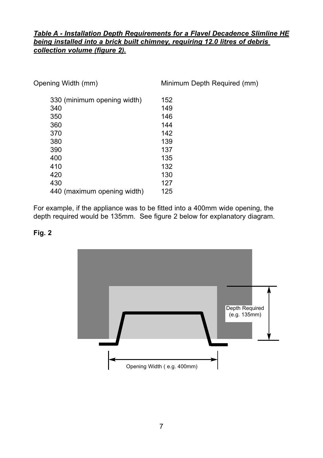#### *Table A - Installation Depth Requirements for a Flavel Decadence Slimline HE being installed into a brick built chimney, requiring 12.0 litres of debris collection volume (figure 2).*

| Opening Width (mm)          | Minimum Depth Required (mm) |
|-----------------------------|-----------------------------|
| 330 (minimum opening width) | 152                         |
| 340                         | 149                         |
| 350                         | 146                         |
| 360                         | 144                         |
| 370                         | 142                         |
| 380                         | 139                         |
| 390                         | 137                         |
| 400                         | 135                         |
| 410                         | 132                         |
| 420                         | 130                         |
| 430                         | 127                         |
| 440 (maximum opening width) | 125                         |

For example, if the appliance was to be fitted into a 400mm wide opening, the depth required would be 135mm. See figure 2 below for explanatory diagram.

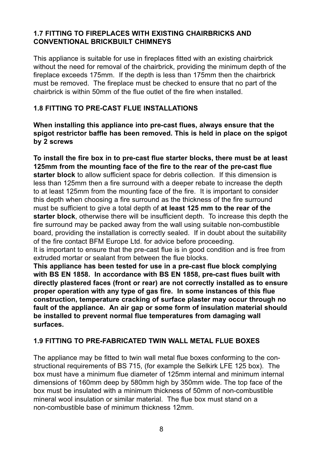#### **1.7 FITTING TO FIREPLACES WITH EXISTING CHAIRBRICKS AND CONVENTIONAL BRICKBUILT CHIMNEYS**

This appliance is suitable for use in fireplaces fitted with an existing chairbrick without the need for removal of the chairbrick, providing the minimum depth of the fireplace exceeds 175mm. If the depth is less than 175mm then the chairbrick must be removed. The fireplace must be checked to ensure that no part of the chairbrick is within 50mm of the flue outlet of the fire when installed.

#### **1.8 FITTING TO PRE-CAST FLUE INSTALLATIONS**

**When installing this appliance into pre-cast flues, always ensure that the spigot restrictor baffle has been removed. This is held in place on the spigot by 2 screws**

**To install the fire box in to pre-cast flue starter blocks, there must be at least 125mm from the mounting face of the fire to the rear of the pre-cast flue starter block** to allow sufficient space for debris collection. If this dimension is less than 125mm then a fire surround with a deeper rebate to increase the depth to at least 125mm from the mounting face of the fire. It is important to consider this depth when choosing a fire surround as the thickness of the fire surround must be sufficient to give a total depth of **at least 125 mm to the rear of the starter block**, otherwise there will be insufficient depth. To increase this depth the fire surround may be packed away from the wall using suitable non-combustible board, providing the installation is correctly sealed. If in doubt about the suitability of the fire contact BFM Europe Ltd. for advice before proceeding.

It is important to ensure that the pre-cast flue is in good condition and is free from extruded mortar or sealant from between the flue blocks.

**This appliance has been tested for use in a pre-cast flue block complying with BS EN 1858. In accordance with BS EN 1858, pre-cast flues built with directly plastered faces (front or rear) are not correctly installed as to ensure proper operation with any type of gas fire. In some instances of this flue construction, temperature cracking of surface plaster may occur through no fault of the appliance. An air gap or some form of insulation material should be installed to prevent normal flue temperatures from damaging wall surfaces.**

#### **1.9 FITTING TO PRE-FABRICATED TWIN WALL METAL FLUE BOXES**

The appliance may be fitted to twin wall metal flue boxes conforming to the constructional requirements of BS 715, (for example the Selkirk LFE 125 box). The box must have a minimum flue diameter of 125mm internal and minimum internal dimensions of 160mm deep by 580mm high by 350mm wide. The top face of the box must be insulated with a minimum thickness of 50mm of non-combustible mineral wool insulation or similar material. The flue box must stand on a non-combustible base of minimum thickness 12mm.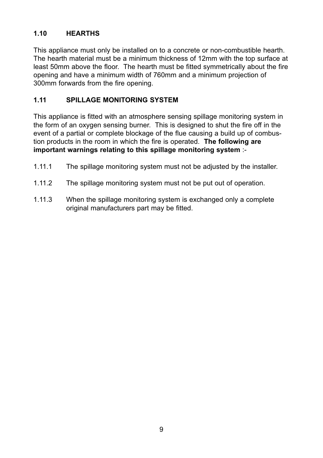#### **1.10 HEARTHS**

This appliance must only be installed on to a concrete or non-combustible hearth. The hearth material must be a minimum thickness of 12mm with the top surface at least 50mm above the floor. The hearth must be fitted symmetrically about the fire opening and have a minimum width of 760mm and a minimum projection of 300mm forwards from the fire opening.

#### **1.11 SPILLAGE MONITORING SYSTEM**

This appliance is fitted with an atmosphere sensing spillage monitoring system in the form of an oxygen sensing burner. This is designed to shut the fire off in the event of a partial or complete blockage of the flue causing a build up of combustion products in the room in which the fire is operated. **The following are important warnings relating to this spillage monitoring system** :-

- 1.11.1 The spillage monitoring system must not be adjusted by the installer.
- 1.11.2 The spillage monitoring system must not be put out of operation.
- 1.11.3 When the spillage monitoring system is exchanged only a complete original manufacturers part may be fitted.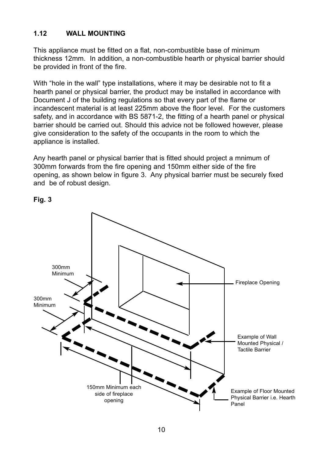#### **1.12 WALL MOUNTING**

This appliance must be fitted on a flat, non-combustible base of minimum thickness 12mm. In addition, a non-combustible hearth or physical barrier should be provided in front of the fire.

With "hole in the wall" type installations, where it may be desirable not to fit a hearth panel or physical barrier, the product may be installed in accordance with Document J of the building regulations so that every part of the flame or incandescent material is at least 225mm above the floor level. For the customers safety, and in accordance with BS 5871-2, the fitting of a hearth panel or physical barrier should be carried out. Should this advice not be followed however, please give consideration to the safety of the occupants in the room to which the appliance is installed.

Any hearth panel or physical barrier that is fitted should project a mnimum of 300mm forwards from the fire opening and 150mm either side of the fire opening, as shown below in figure 3. Any physical barrier must be securely fixed and be of robust design.

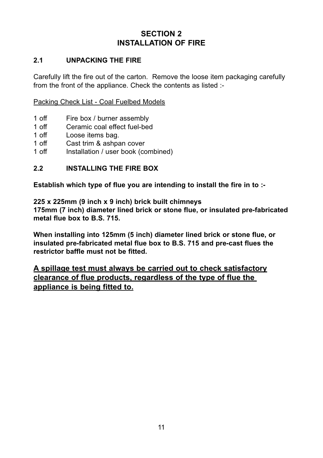#### **SECTION 2 INSTALLATION OF FIRE**

#### **2.1 UNPACKING THE FIRE**

Carefully lift the fire out of the carton. Remove the loose item packaging carefully from the front of the appliance. Check the contents as listed :-

Packing Check List - Coal Fuelbed Models

- 1 off Fire box / burner assembly<br>1 off Ceramic coal effect fuel-bec
- 1 off Ceramic coal effect fuel-bed<br>1 off I pose items bag
- 1 off Loose items bag.<br>1 off Cast trim & ashba
- 1 off Cast trim & ashpan cover<br>1 off Installation / user book (co
- Installation / user book (combined)

#### **2.2 INSTALLING THE FIRE BOX**

**Establish which type of flue you are intending to install the fire in to :-**

**225 x 225mm (9 inch x 9 inch) brick built chimneys**

**175mm (7 inch) diameter lined brick or stone flue, or insulated pre-fabricated metal flue box to B.S. 715.**

**When installing into 125mm (5 inch) diameter lined brick or stone flue, or insulated pre-fabricated metal flue box to B.S. 715 and pre-cast flues the restrictor baffle must not be fitted.**

**A spillage test must always be carried out to check satisfactory clearance of flue products, regardless of the type of flue the appliance is being fitted to.**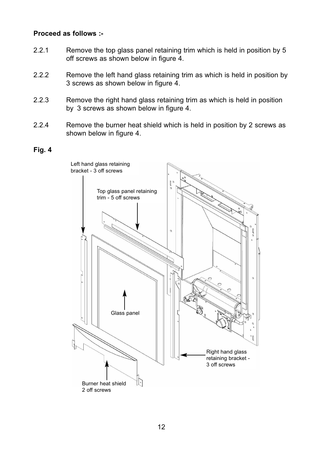#### **Proceed as follows :-**

- 2.2.1 Remove the top glass panel retaining trim which is held in position by 5 off screws as shown below in figure 4.
- 2.2.2 Remove the left hand glass retaining trim as which is held in position by 3 screws as shown below in figure 4.
- 2.2.3 Remove the right hand glass retaining trim as which is held in position by 3 screws as shown below in figure 4.
- 2.2.4 Remove the burner heat shield which is held in position by 2 screws as shown below in figure 4.

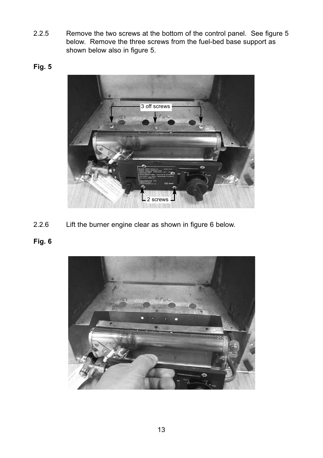2.2.5 Remove the two screws at the bottom of the control panel. See figure 5 below. Remove the three screws from the fuel-bed base support as shown below also in figure 5.

#### **Fig. 5**



2.2.6 Lift the burner engine clear as shown in figure 6 below.

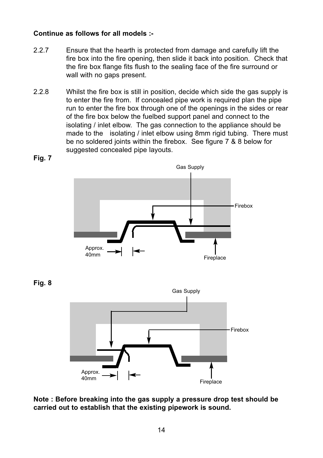#### **Continue as follows for all models :-**

- 2.2.7 Ensure that the hearth is protected from damage and carefully lift the fire box into the fire opening, then slide it back into position. Check that the fire box flange fits flush to the sealing face of the fire surround or wall with no gaps present.
- 2.2.8 Whilst the fire box is still in position, decide which side the gas supply is to enter the fire from. If concealed pipe work is required plan the pipe run to enter the fire box through one of the openings in the sides or rear of the fire box below the fuelbed support panel and connect to the isolating / inlet elbow. The gas connection to the appliance should be made to the isolating / inlet elbow using 8mm rigid tubing. There must be no soldered joints within the firebox. See figure 7 & 8 below for suggested concealed pipe layouts.



**Fig. 7**





**Note : Before breaking into the gas supply a pressure drop test should be carried out to establish that the existing pipework is sound.**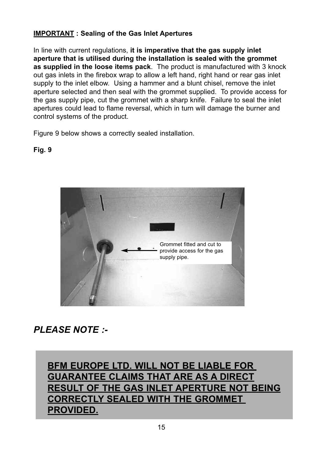#### **IMPORTANT : Sealing of the Gas Inlet Apertures**

In line with current regulations, **it is imperative that the gas supply inlet aperture that is utilised during the installation is sealed with the grommet as supplied in the loose items pack**. The product is manufactured with 3 knock out gas inlets in the firebox wrap to allow a left hand, right hand or rear gas inlet supply to the inlet elbow. Using a hammer and a blunt chisel, remove the inlet aperture selected and then seal with the grommet supplied. To provide access for the gas supply pipe, cut the grommet with a sharp knife. Failure to seal the inlet apertures could lead to flame reversal, which in turn will damage the burner and control systems of the product.

Figure 9 below shows a correctly sealed installation.

**Fig. 9**



## *PLEASE NOTE :-*

**BFM EUROPE LTD. WILL NOT BE LIABLE FOR GUARANTEE CLAIMS THAT ARE AS A DIRECT RESULT OF THE GAS INLET APERTURE NOT BEING CORRECTLY SEALED WITH THE GROMMET PROVIDED.**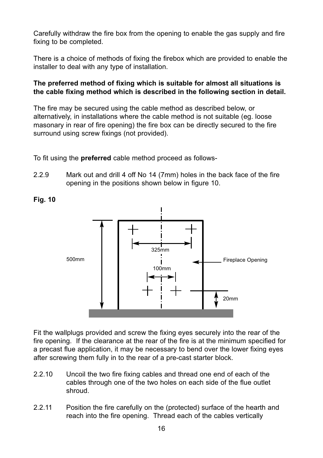Carefully withdraw the fire box from the opening to enable the gas supply and fire fixing to be completed.

There is a choice of methods of fixing the firebox which are provided to enable the installer to deal with any type of installation.

#### **The preferred method of fixing which is suitable for almost all situations is the cable fixing method which is described in the following section in detail.**

The fire may be secured using the cable method as described below, or alternatively, in installations where the cable method is not suitable (eg. loose masonary in rear of fire opening) the fire box can be directly secured to the fire surround using screw fixings (not provided).

To fit using the **preferred** cable method proceed as follows-

2.2.9 Mark out and drill 4 off No 14 (7mm) holes in the back face of the fire opening in the positions shown below in figure 10.

> Fireplace Opening 325mm 100mm 500mm 20mm

Fit the wallplugs provided and screw the fixing eyes securely into the rear of the fire opening. If the clearance at the rear of the fire is at the minimum specified for a precast flue application, it may be necessary to bend over the lower fixing eyes after screwing them fully in to the rear of a pre-cast starter block.

- 2.2.10 Uncoil the two fire fixing cables and thread one end of each of the cables through one of the two holes on each side of the flue outlet shroud.
- 2.2.11 Position the fire carefully on the (protected) surface of the hearth and reach into the fire opening. Thread each of the cables vertically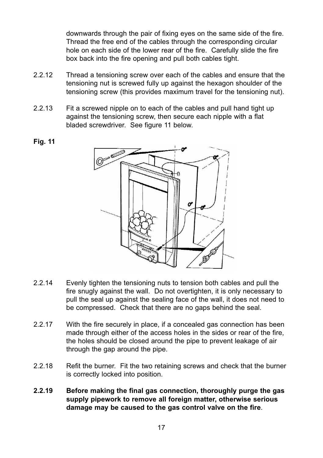downwards through the pair of fixing eyes on the same side of the fire. Thread the free end of the cables through the corresponding circular hole on each side of the lower rear of the fire. Carefully slide the fire box back into the fire opening and pull both cables tight.

- 2.2.12 Thread a tensioning screw over each of the cables and ensure that the tensioning nut is screwed fully up against the hexagon shoulder of the tensioning screw (this provides maximum travel for the tensioning nut).
- 2.2.13 Fit a screwed nipple on to each of the cables and pull hand tight up against the tensioning screw, then secure each nipple with a flat bladed screwdriver. See figure 11 below.



- 2.2.14 Evenly tighten the tensioning nuts to tension both cables and pull the fire snugly against the wall. Do not overtighten, it is only necessary to pull the seal up against the sealing face of the wall, it does not need to be compressed. Check that there are no gaps behind the seal.
- 2.2.17 With the fire securely in place, if a concealed gas connection has been made through either of the access holes in the sides or rear of the fire. the holes should be closed around the pipe to prevent leakage of air through the gap around the pipe.
- 2.2.18 Refit the burner. Fit the two retaining screws and check that the burner is correctly locked into position.
- **2.2.19 Before making the final gas connection, thoroughly purge the gas supply pipework to remove all foreign matter, otherwise serious damage may be caused to the gas control valve on the fire**.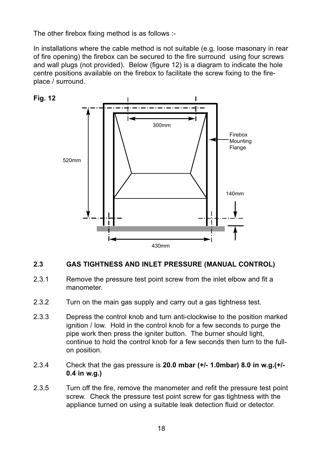The other firebox fixing method is as follows :-

In installations where the cable method is not suitable (e.g. loose masonary in rear of fire opening) the firebox can be secured to the fire surround using four screws and wall plugs (not provided). Below (figure 12) is a diagram to indicate the hole centre positions available on the firebox to facilitate the screw fixing to the fireplace / surround.



#### **2.3 GAS TIGHTNESS AND INLET PRESSURE (MANUAL CONTROL)**

- 2.3.1 Remove the pressure test point screw from the inlet elbow and fit a manometer.
- 2.3.2 Turn on the main gas supply and carry out a gas tightness test.
- 2.3.3 Depress the control knob and turn anti-clockwise to the position marked ignition / low. Hold in the control knob for a few seconds to purge the pipe work then press the igniter button. The burner should light, continue to hold the control knob for a few seconds then turn to the fullon position.
- 2.3.4 Check that the gas pressure is **20.0 mbar (+/- 1.0mbar) 8.0 in w.g.(+/- 0.4 in w.g.)**
- 2.3.5 Turn off the fire, remove the manometer and refit the pressure test point screw. Check the pressure test point screw for gas tightness with the appliance turned on using a suitable leak detection fluid or detector.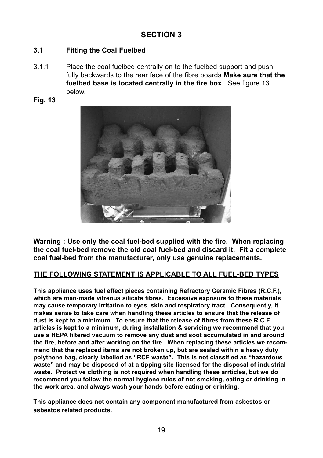#### **SECTION 3**

#### **3.1 Fitting the Coal Fuelbed**

- 3.1.1 Place the coal fuelbed centrally on to the fuelbed support and push fully backwards to the rear face of the fibre boards **Make sure that the fuelbed base is located centrally in the fire box**. See figure 13 below.
- **Fig. 13**



**Warning : Use only the coal fuel-bed supplied with the fire. When replacing the coal fuel-bed remove the old coal fuel-bed and discard it. Fit a complete coal fuel-bed from the manufacturer, only use genuine replacements.**

#### **THE FOLLOWING STATEMENT IS APPLICABLE TO ALL FUEL-BED TYPES**

**This appliance uses fuel effect pieces containing Refractory Ceramic Fibres (R.C.F.), which are man-made vitreous silicate fibres. Excessive exposure to these materials may cause temporary irritation to eyes, skin and respiratory tract. Consequently, it makes sense to take care when handling these articles to ensure that the release of dust is kept to a minimum. To ensure that the release of fibres from these R.C.F. articles is kept to a minimum, during installation & servicing we recommend that you use a HEPA filtered vacuum to remove any dust and soot accumulated in and around the fire, before and after working on the fire. When replacing these articles we recommend that the replaced items are not broken up, but are sealed within a heavy duty polythene bag, clearly labelled as "RCF waste". This is not classified as "hazardous waste" and may be disposed of at a tipping site licensed for the disposal of industrial waste. Protective clothing is not required when handling these arrticles, but we do recommend you follow the normal hygiene rules of not smoking, eating or drinking in the work area, and always wash your hands before eating or drinking.**

**This appliance does not contain any component manufactured from asbestos or asbestos related products.**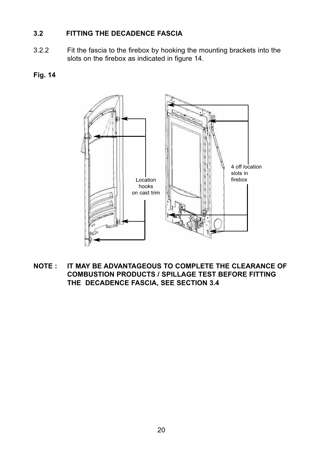#### **3.2 FITTING THE DECADENCE FASCIA**

- 3.2.2 Fit the fascia to the firebox by hooking the mounting brackets into the slots on the firebox as indicated in figure 14.
- **Fig. 14**



**NOTE : IT MAY BE ADVANTAGEOUS TO COMPLETE THE CLEARANCE OF COMBUSTION PRODUCTS / SPILLAGE TEST BEFORE FITTING THE DECADENCE FASCIA, SEE SECTION 3.4**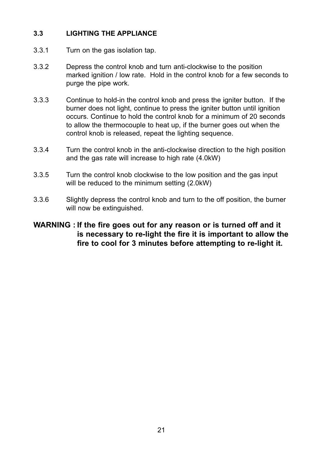#### **3.3 LIGHTING THE APPLIANCE**

- 3.3.1 Turn on the gas isolation tap.
- 3.3.2 Depress the control knob and turn anti-clockwise to the position marked ignition / low rate. Hold in the control knob for a few seconds to purge the pipe work.
- 3.3.3 Continue to hold-in the control knob and press the igniter button. If the burner does not light, continue to press the igniter button until ignition occurs. Continue to hold the control knob for a minimum of 20 seconds to allow the thermocouple to heat up, if the burner goes out when the control knob is released, repeat the lighting sequence.
- 3.3.4 Turn the control knob in the anti-clockwise direction to the high position and the gas rate will increase to high rate (4.0kW)
- 3.3.5 Turn the control knob clockwise to the low position and the gas input will be reduced to the minimum setting (2.0kW)
- 3.3.6 Slightly depress the control knob and turn to the off position, the burner will now be extinguished.

#### **WARNING : If the fire goes out for any reason or is turned off and it is necessary to re-light the fire it is important to allow the fire to cool for 3 minutes before attempting to re-light it.**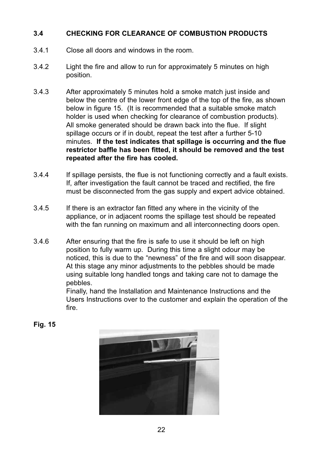#### **3.4 CHECKING FOR CLEARANCE OF COMBUSTION PRODUCTS**

- 3.4.1 Close all doors and windows in the room.
- 3.4.2 Light the fire and allow to run for approximately 5 minutes on high position.
- 3.4.3 After approximately 5 minutes hold a smoke match just inside and below the centre of the lower front edge of the top of the fire, as shown below in figure 15. (It is recommended that a suitable smoke match holder is used when checking for clearance of combustion products). All smoke generated should be drawn back into the flue. If slight spillage occurs or if in doubt, repeat the test after a further 5-10 minutes. **If the test indicates that spillage is occurring and the flue restrictor baffle has been fitted, it should be removed and the test repeated after the fire has cooled.**
- 3.4.4 If spillage persists, the flue is not functioning correctly and a fault exists. If, after investigation the fault cannot be traced and rectified, the fire must be disconnected from the gas supply and expert advice obtained.
- 3.4.5 If there is an extractor fan fitted any where in the vicinity of the appliance, or in adjacent rooms the spillage test should be repeated with the fan running on maximum and all interconnecting doors open.
- 3.4.6 After ensuring that the fire is safe to use it should be left on high position to fully warm up. During this time a slight odour may be noticed, this is due to the "newness" of the fire and will soon disappear. At this stage any minor adjustments to the pebbles should be made using suitable long handled tongs and taking care not to damage the pebbles.

Finally, hand the Installation and Maintenance Instructions and the Users Instructions over to the customer and explain the operation of the fire.

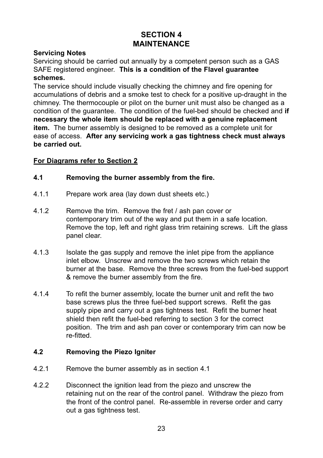#### **SECTION 4 MAINTENANCE**

#### **Servicing Notes**

Servicing should be carried out annually by a competent person such as a GAS SAFE registered engineer. **This is a condition of the Flavel guarantee schemes.**

The service should include visually checking the chimney and fire opening for accumulations of debris and a smoke test to check for a positive up-draught in the chimney. The thermocouple or pilot on the burner unit must also be changed as a condition of the guarantee. The condition of the fuel-bed should be checked and **if necessary the whole item should be replaced with a genuine replacement item.** The burner assembly is designed to be removed as a complete unit for ease of access. **After any servicing work a gas tightness check must always be carried out.**

#### **For Diagrams refer to Section 2**

#### **4.1 Removing the burner assembly from the fire.**

- 4.1.1 Prepare work area (lay down dust sheets etc.)
- 4.1.2 Remove the trim. Remove the fret / ash pan cover or contemporary trim out of the way and put them in a safe location. Remove the top, left and right glass trim retaining screws. Lift the glass panel clear.
- 4.1.3 Isolate the gas supply and remove the inlet pipe from the appliance inlet elbow. Unscrew and remove the two screws which retain the burner at the base. Remove the three screws from the fuel-bed support & remove the burner assembly from the fire.
- 4.1.4 To refit the burner assembly, locate the burner unit and refit the two base screws plus the three fuel-bed support screws. Refit the gas supply pipe and carry out a gas tightness test. Refit the burner heat shield then refit the fuel-bed referring to section 3 for the correct position. The trim and ash pan cover or contemporary trim can now be re-fitted.

#### **4.2 Removing the Piezo Igniter**

- 4.2.1 Remove the burner assembly as in section 4.1
- 4.2.2 Disconnect the ignition lead from the piezo and unscrew the retaining nut on the rear of the control panel. Withdraw the piezo from the front of the control panel. Re-assemble in reverse order and carry out a gas tightness test.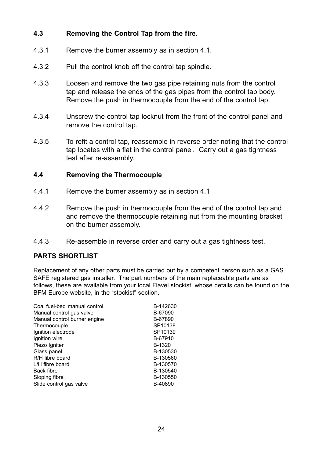#### **4.3 Removing the Control Tap from the fire.**

- 4.3.1 Remove the burner assembly as in section 4.1.
- 4.3.2 Pull the control knob off the control tap spindle.
- 4.3.3 Loosen and remove the two gas pipe retaining nuts from the control tap and release the ends of the gas pipes from the control tap body. Remove the push in thermocouple from the end of the control tap.
- 4.3.4 Unscrew the control tap locknut from the front of the control panel and remove the control tap.
- 4.3.5 To refit a control tap, reassemble in reverse order noting that the control tap locates with a flat in the control panel. Carry out a gas tightness test after re-assembly.

#### **4.4 Removing the Thermocouple**

- 4.4.1 Remove the burner assembly as in section 4.1
- 4.4.2 Remove the push in thermocouple from the end of the control tap and and remove the thermocouple retaining nut from the mounting bracket on the burner assembly.
- 4.4.3 Re-assemble in reverse order and carry out a gas tightness test.

#### **PARTS SHORTLIST**

Replacement of any other parts must be carried out by a competent person such as a GAS SAFE registered gas installer. The part numbers of the main replaceable parts are as follows, these are available from your local Flavel stockist, whose details can be found on the BFM Europe website, in the "stockist" section.

| Coal fuel-bed manual control<br>Manual control gas valve | B-142630<br>B-67090 |
|----------------------------------------------------------|---------------------|
| Manual control burner engine                             | B-67890             |
| Thermocouple                                             | SP10138             |
| Ignition electrode                                       | SP10139             |
| Ignition wire                                            | B-67910             |
| Piezo Igniter                                            | B-1320              |
| Glass panel                                              | B-130530            |
| R/H fibre board                                          | B-130560            |
| L/H fibre board                                          | B-130570            |
| <b>Back fibre</b>                                        | B-130540            |
| Sloping fibre                                            | B-130550            |
| Slide control gas valve                                  | B-40890             |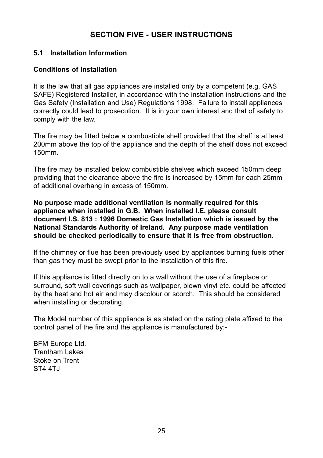#### **SECTION FIVE - USER INSTRUCTIONS**

#### **5.1 Installation Information**

#### **Conditions of Installation**

It is the law that all gas appliances are installed only by a competent (e.g. GAS SAFE) Registered Installer, in accordance with the installation instructions and the Gas Safety (Installation and Use) Regulations 1998. Failure to install appliances correctly could lead to prosecution. It is in your own interest and that of safety to comply with the law.

The fire may be fitted below a combustible shelf provided that the shelf is at least 200mm above the top of the appliance and the depth of the shelf does not exceed 150mm.

The fire may be installed below combustible shelves which exceed 150mm deep providing that the clearance above the fire is increased by 15mm for each 25mm of additional overhang in excess of 150mm.

**No purpose made additional ventilation is normally required for this appliance when installed in G.B. When installed I.E. please consult document I.S. 813 : 1996 Domestic Gas Installation which is issued by the National Standards Authority of Ireland. Any purpose made ventilation should be checked periodically to ensure that it is free from obstruction.**

If the chimney or flue has been previously used by appliances burning fuels other than gas they must be swept prior to the installation of this fire.

If this appliance is fitted directly on to a wall without the use of a fireplace or surround, soft wall coverings such as wallpaper, blown vinyl etc. could be affected by the heat and hot air and may discolour or scorch. This should be considered when installing or decorating.

The Model number of this appliance is as stated on the rating plate affixed to the control panel of the fire and the appliance is manufactured by:-

BFM Europe Ltd. Trentham Lakes Stoke on Trent ST<sub>4</sub>  $ATJ$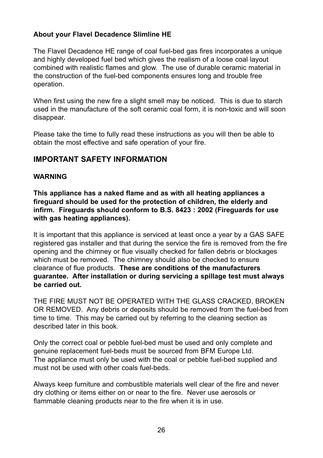#### **About your Flavel Decadence Slimline HE**

The Flavel Decadence HE range of coal fuel-bed gas fires incorporates a unique and highly developed fuel bed which gives the realism of a loose coal layout combined with realistic flames and glow. The use of durable ceramic material in the construction of the fuel-bed components ensures long and trouble free operation.

When first using the new fire a slight smell may be noticed. This is due to starch used in the manufacture of the soft ceramic coal form, it is non-toxic and will soon disappear.

Please take the time to fully read these instructions as you will then be able to obtain the most effective and safe operation of your fire.

#### **IMPORTANT SAFETY INFORMATION**

#### **WARNING**

**This appliance has a naked flame and as with all heating appliances a fireguard should be used for the protection of children, the elderly and infirm. Fireguards should conform to B.S. 8423 : 2002 (Fireguards for use with gas heating appliances).**

It is important that this appliance is serviced at least once a year by a GAS SAFE registered gas installer and that during the service the fire is removed from the fire opening and the chimney or flue visually checked for fallen debris or blockages which must be removed. The chimney should also be checked to ensure clearance of flue products. **These are conditions of the manufacturers guarantee. After installation or during servicing a spillage test must always be carried out.**

THE FIRE MUST NOT BE OPERATED WITH THE GLASS CRACKED, BROKEN OR REMOVED. Any debris or deposits should be removed from the fuel-bed from time to time. This may be carried out by referring to the cleaning section as described later in this book.

Only the correct coal or pebble fuel-bed must be used and only complete and genuine replacement fuel-beds must be sourced from BFM Europe Ltd. The appliance must only be used with the coal or pebble fuel-bed supplied and must not be used with other coals fuel-beds.

Always keep furniture and combustible materials well clear of the fire and never dry clothing or items either on or near to the fire. Never use aerosols or flammable cleaning products near to the fire when it is in use.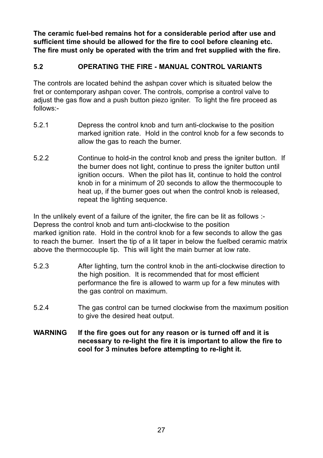**The ceramic fuel-bed remains hot for a considerable period after use and sufficient time should be allowed for the fire to cool before cleaning etc. The fire must only be operated with the trim and fret supplied with the fire.**

#### **5.2 OPERATING THE FIRE - MANUAL CONTROL VARIANTS**

The controls are located behind the ashpan cover which is situated below the fret or contemporary ashpan cover. The controls, comprise a control valve to adjust the gas flow and a push button piezo igniter. To light the fire proceed as follows:-

- 5.2.1 Depress the control knob and turn anti-clockwise to the position marked ignition rate. Hold in the control knob for a few seconds to allow the gas to reach the burner.
- 5.2.2 Continue to hold-in the control knob and press the igniter button. If the burner does not light, continue to press the igniter button until ignition occurs. When the pilot has lit, continue to hold the control knob in for a minimum of 20 seconds to allow the thermocouple to heat up, if the burner goes out when the control knob is released, repeat the lighting sequence.

In the unlikely event of a failure of the igniter, the fire can be lit as follows :-Depress the control knob and turn anti-clockwise to the position marked ignition rate. Hold in the control knob for a few seconds to allow the gas to reach the burner. Insert the tip of a lit taper in below the fuelbed ceramic matrix above the thermocouple tip. This will light the main burner at low rate.

- 5.2.3 After lighting, turn the control knob in the anti-clockwise direction to the high position. It is recommended that for most efficient performance the fire is allowed to warm up for a few minutes with the gas control on maximum.
- 5.2.4 The gas control can be turned clockwise from the maximum position to give the desired heat output.
- **WARNING If the fire goes out for any reason or is turned off and it is necessary to re-light the fire it is important to allow the fire to cool for 3 minutes before attempting to re-light it.**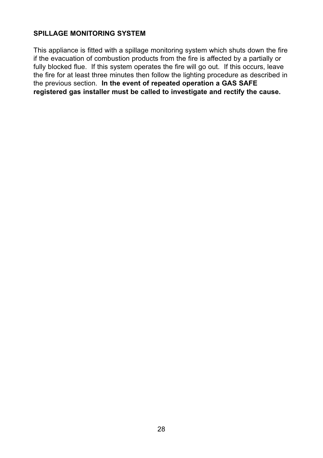#### **SPILLAGE MONITORING SYSTEM**

This appliance is fitted with a spillage monitoring system which shuts down the fire if the evacuation of combustion products from the fire is affected by a partially or fully blocked flue. If this system operates the fire will go out. If this occurs, leave the fire for at least three minutes then follow the lighting procedure as described in the previous section. **In the event of repeated operation a GAS SAFE registered gas installer must be called to investigate and rectify the cause.**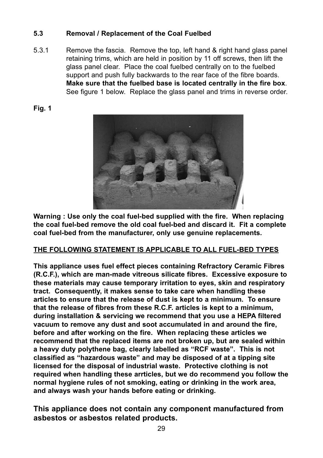#### **5.3 Removal / Replacement of the Coal Fuelbed**

5.3.1 Remove the fascia. Remove the top, left hand & right hand glass panel retaining trims, which are held in position by 11 off screws, then lift the glass panel clear. Place the coal fuelbed centrally on to the fuelbed support and push fully backwards to the rear face of the fibre boards. **Make sure that the fuelbed base is located centrally in the fire box**. See figure 1 below. Replace the glass panel and trims in reverse order.





**Warning : Use only the coal fuel-bed supplied with the fire. When replacing the coal fuel-bed remove the old coal fuel-bed and discard it. Fit a complete coal fuel-bed from the manufacturer, only use genuine replacements.**

#### **THE FOLLOWING STATEMENT IS APPLICABLE TO ALL FUEL-BED TYPES**

**This appliance uses fuel effect pieces containing Refractory Ceramic Fibres (R.C.F.), which are man-made vitreous silicate fibres. Excessive exposure to these materials may cause temporary irritation to eyes, skin and respiratory tract. Consequently, it makes sense to take care when handling these articles to ensure that the release of dust is kept to a minimum. To ensure that the release of fibres from these R.C.F. articles is kept to a minimum, during installation & servicing we recommend that you use a HEPA filtered vacuum to remove any dust and soot accumulated in and around the fire, before and after working on the fire. When replacing these articles we recommend that the replaced items are not broken up, but are sealed within a heavy duty polythene bag, clearly labelled as "RCF waste". This is not classified as "hazardous waste" and may be disposed of at a tipping site licensed for the disposal of industrial waste. Protective clothing is not required when handling these arrticles, but we do recommend you follow the normal hygiene rules of not smoking, eating or drinking in the work area, and always wash your hands before eating or drinking.**

**This appliance does not contain any component manufactured from asbestos or asbestos related products.**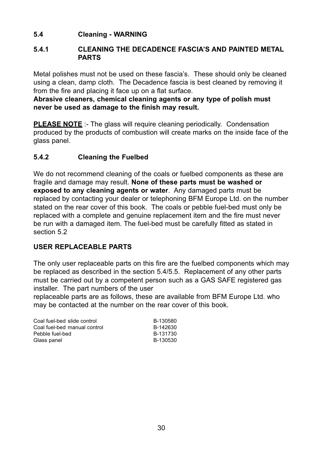#### **5.4 Cleaning - WARNING**

#### **5.4.1 CLEANING THE DECADENCE FASCIA'S AND PAINTED METAL PARTS**

Metal polishes must not be used on these fascia's. These should only be cleaned using a clean, damp cloth. The Decadence fascia is best cleaned by removing it from the fire and placing it face up on a flat surface.

**Abrasive cleaners, chemical cleaning agents or any type of polish must never be used as damage to the finish may result.**

**PLEASE NOTE** :- The glass will require cleaning periodically. Condensation produced by the products of combustion will create marks on the inside face of the glass panel.

#### **5.4.2 Cleaning the Fuelbed**

We do not recommend cleaning of the coals or fuelbed components as these are fragile and damage may result. **None of these parts must be washed or exposed to any cleaning agents or water**. Any damaged parts must be replaced by contacting your dealer or telephoning BFM Europe Ltd. on the number stated on the rear cover of this book. The coals or pebble fuel-bed must only be replaced with a complete and genuine replacement item and the fire must never be run with a damaged item. The fuel-bed must be carefully fitted as stated in section 5.2

#### **USER REPLACEABLE PARTS**

The only user replaceable parts on this fire are the fuelbed components which may be replaced as described in the section 5.4/5.5. Replacement of any other parts must be carried out by a competent person such as a GAS SAFE registered gas installer. The part numbers of the user

replaceable parts are as follows, these are available from BFM Europe Ltd. who may be contacted at the number on the rear cover of this book.

| Coal fuel-bed slide control  | B-130580 |
|------------------------------|----------|
| Coal fuel-bed manual control | B-142630 |
| Pebble fuel-bed              | B-131730 |
| Glass panel                  | B-130530 |